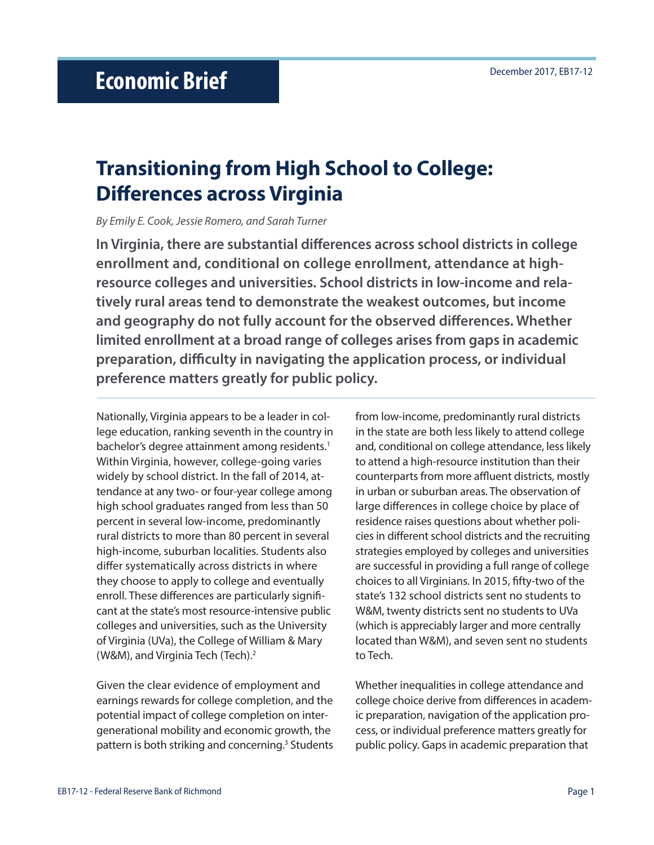# **Transitioning from High School to College: Differences across Virginia**

*By Emily E. Cook, Jessie Romero, and Sarah Turner*

**In Virginia, there are substantial differences across school districts in college enrollment and, conditional on college enrollment, attendance at highresource colleges and universities. School districts in low-income and relatively rural areas tend to demonstrate the weakest outcomes, but income and geography do not fully account for the observed differences. Whether limited enrollment at a broad range of colleges arises from gaps in academic preparation, difficulty in navigating the application process, or individual preference matters greatly for public policy.** 

Nationally, Virginia appears to be a leader in college education, ranking seventh in the country in bachelor's degree attainment among residents.<sup>1</sup> Within Virginia, however, college-going varies widely by school district. In the fall of 2014, attendance at any two- or four-year college among high school graduates ranged from less than 50 percent in several low-income, predominantly rural districts to more than 80 percent in several high-income, suburban localities. Students also differ systematically across districts in where they choose to apply to college and eventually enroll. These differences are particularly significant at the state's most resource-intensive public colleges and universities, such as the University of Virginia (UVa), the College of William & Mary (W&M), and Virginia Tech (Tech).2

Given the clear evidence of employment and earnings rewards for college completion, and the potential impact of college completion on intergenerational mobility and economic growth, the pattern is both striking and concerning.<sup>3</sup> Students from low-income, predominantly rural districts in the state are both less likely to attend college and, conditional on college attendance, less likely to attend a high-resource institution than their counterparts from more affluent districts, mostly in urban or suburban areas. The observation of large differences in college choice by place of residence raises questions about whether policies in different school districts and the recruiting strategies employed by colleges and universities are successful in providing a full range of college choices to all Virginians. In 2015, fifty-two of the state's 132 school districts sent no students to W&M, twenty districts sent no students to UVa (which is appreciably larger and more centrally located than W&M), and seven sent no students to Tech.

Whether inequalities in college attendance and college choice derive from differences in academic preparation, navigation of the application process, or individual preference matters greatly for public policy. Gaps in academic preparation that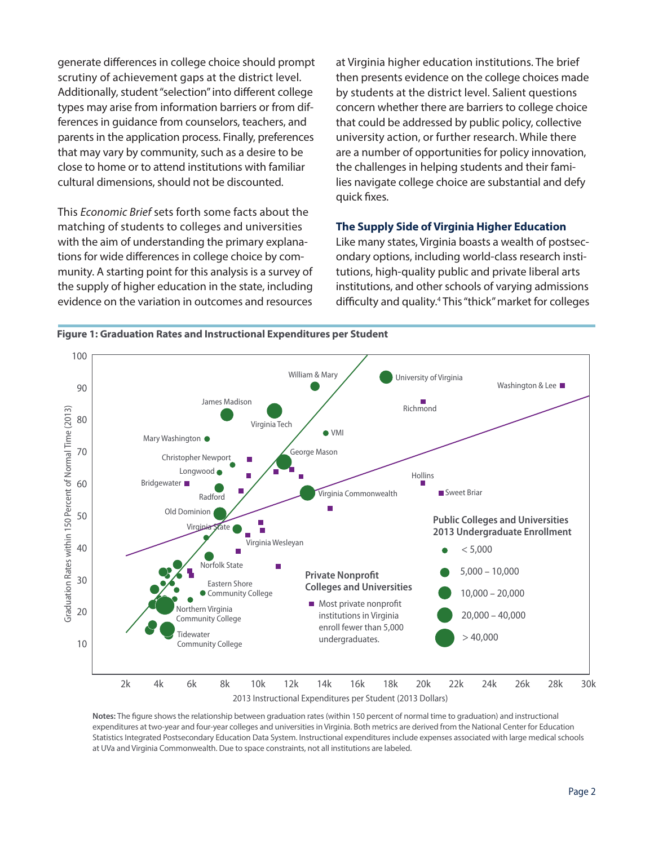generate differences in college choice should prompt scrutiny of achievement gaps at the district level. Additionally, student "selection" into different college types may arise from information barriers or from differences in guidance from counselors, teachers, and parents in the application process. Finally, preferences that may vary by community, such as a desire to be close to home or to attend institutions with familiar cultural dimensions, should not be discounted.

This *Economic Brief* sets forth some facts about the matching of students to colleges and universities with the aim of understanding the primary explanations for wide differences in college choice by community. A starting point for this analysis is a survey of the supply of higher education in the state, including evidence on the variation in outcomes and resources at Virginia higher education institutions. The brief then presents evidence on the college choices made by students at the district level. Salient questions concern whether there are barriers to college choice that could be addressed by public policy, collective university action, or further research. While there are a number of opportunities for policy innovation, the challenges in helping students and their families navigate college choice are substantial and defy quick fixes.

#### **The Supply Side of Virginia Higher Education**

Like many states, Virginia boasts a wealth of postsecondary options, including world-class research institutions, high-quality public and private liberal arts institutions, and other schools of varying admissions difficulty and quality.4 This "thick" market for colleges



**Figure 1: Graduation Rates and Instructional Expenditures per Student**

**Notes:** The figure shows the relationship between graduation rates (within 150 percent of normal time to graduation) and instructional expenditures at two-year and four-year colleges and universities in Virginia. Both metrics are derived from the National Center for Education Statistics Integrated Postsecondary Education Data System. Instructional expenditures include expenses associated with large medical schools at UVa and Virginia Commonwealth. Due to space constraints, not all institutions are labeled.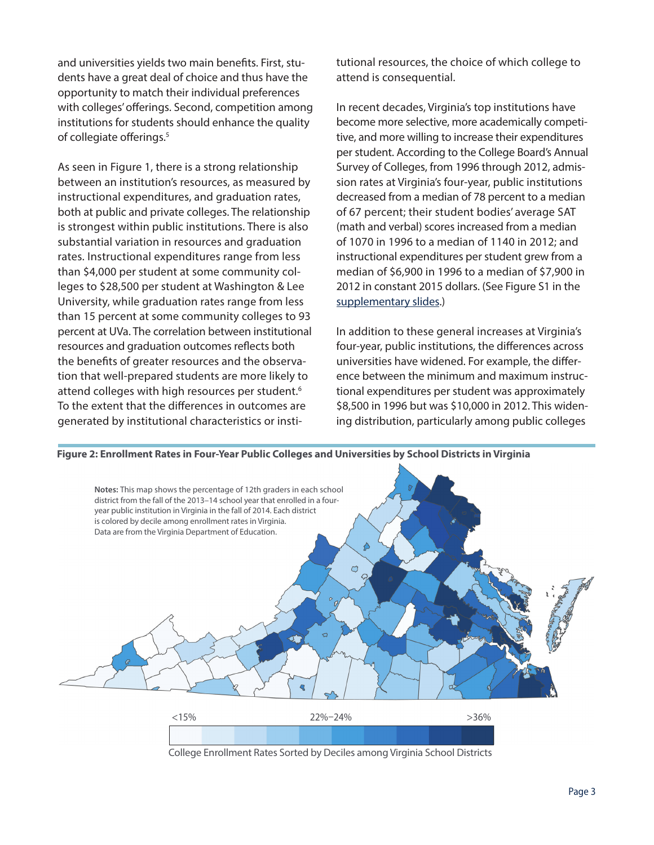and universities yields two main benefits. First, students have a great deal of choice and thus have the opportunity to match their individual preferences with colleges' offerings. Second, competition among institutions for students should enhance the quality of collegiate offerings.<sup>5</sup>

As seen in Figure 1, there is a strong relationship between an institution's resources, as measured by instructional expenditures, and graduation rates, both at public and private colleges. The relationship is strongest within public institutions. There is also substantial variation in resources and graduation rates. Instructional expenditures range from less than \$4,000 per student at some community colleges to \$28,500 per student at Washington & Lee University, while graduation rates range from less than 15 percent at some community colleges to 93 percent at UVa. The correlation between institutional resources and graduation outcomes reflects both the benefits of greater resources and the observation that well-prepared students are more likely to attend colleges with high resources per student.<sup>6</sup> To the extent that the differences in outcomes are generated by institutional characteristics or institutional resources, the choice of which college to attend is consequential.

In recent decades, Virginia's top institutions have become more selective, more academically competitive, and more willing to increase their expenditures per student. According to the College Board's Annual Survey of Colleges, from 1996 through 2012, admission rates at Virginia's four-year, public institutions decreased from a median of 78 percent to a median of 67 percent; their student bodies' average SAT (math and verbal) scores increased from a median of 1070 in 1996 to a median of 1140 in 2012; and instructional expenditures per student grew from a median of \$6,900 in 1996 to a median of \$7,900 in 2012 in constant 2015 dollars. (See Figure S1 in the [supplementary slides](https://www.richmondfed.org/-/media/richmondfedorg/publications/research/economic_brief/2017/pdf/uva_supplementary_slides.pdf).)

In addition to these general increases at Virginia's four-year, public institutions, the differences across universities have widened. For example, the difference between the minimum and maximum instructional expenditures per student was approximately \$8,500 in 1996 but was \$10,000 in 2012. This widening distribution, particularly among public colleges



College Enrollment Rates Sorted by Deciles among Virginia School Districts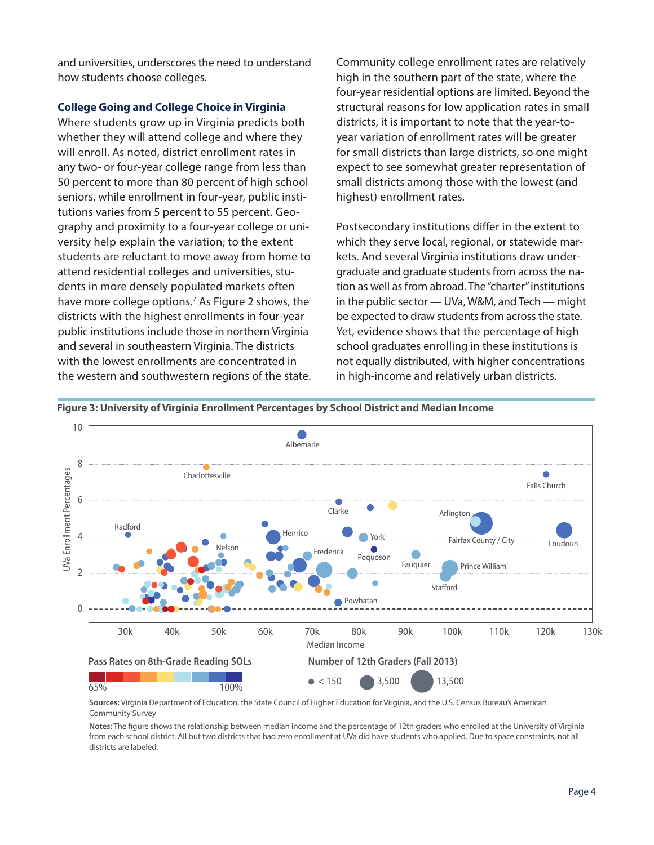and universities, underscores the need to understand how students choose colleges.

#### **College Going and College Choice in Virginia**

Where students grow up in Virginia predicts both whether they will attend college and where they will enroll. As noted, district enrollment rates in any two- or four-year college range from less than 50 percent to more than 80 percent of high school seniors, while enrollment in four-year, public institutions varies from 5 percent to 55 percent. Geography and proximity to a four-year college or university help explain the variation; to the extent students are reluctant to move away from home to attend residential colleges and universities, students in more densely populated markets often have more college options.<sup>7</sup> As Figure 2 shows, the districts with the highest enrollments in four-year public institutions include those in northern Virginia and several in southeastern Virginia. The districts with the lowest enrollments are concentrated in the western and southwestern regions of the state. Community college enrollment rates are relatively high in the southern part of the state, where the four-year residential options are limited. Beyond the structural reasons for low application rates in small districts, it is important to note that the year-toyear variation of enrollment rates will be greater for small districts than large districts, so one might expect to see somewhat greater representation of small districts among those with the lowest (and highest) enrollment rates.

Postsecondary institutions differ in the extent to which they serve local, regional, or statewide markets. And several Virginia institutions draw undergraduate and graduate students from across the nation as well as from abroad. The "charter" institutions in the public sector — UVa, W&M, and Tech — might be expected to draw students from across the state. Yet, evidence shows that the percentage of high school graduates enrolling in these institutions is not equally distributed, with higher concentrations in high-income and relatively urban districts.



**Figure 3: University of Virginia Enrollment Percentages by School District and Median Income**

**Sources:** Virginia Department of Education, the State Council of Higher Education for Virginia, and the U.S. Census Bureau's American Community Survey

**Notes:** The figure shows the relationship between median income and the percentage of 12th graders who enrolled at the University of Virginia from each school district. All but two districts that had zero enrollment at UVa did have students who applied. Due to space constraints, not all districts are labeled.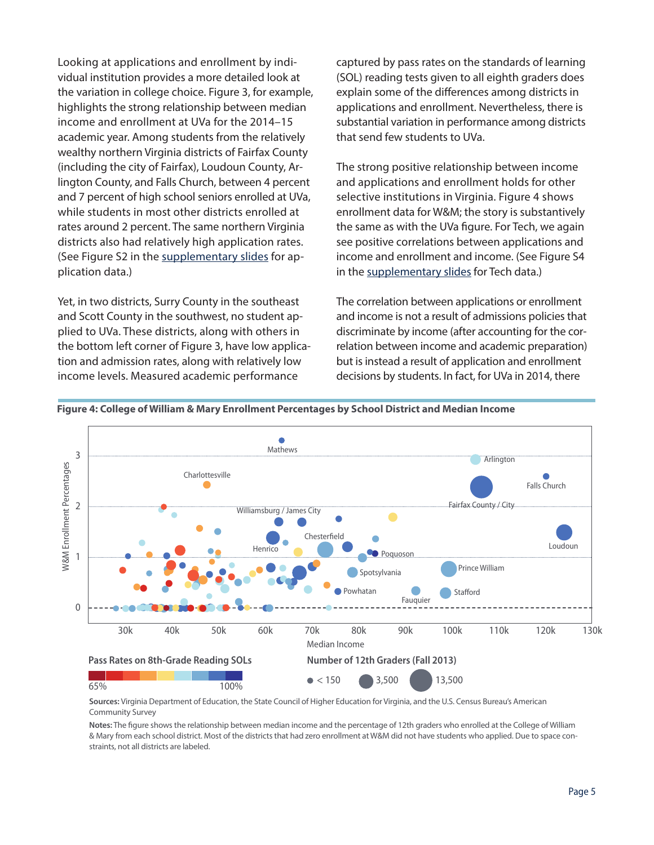Looking at applications and enrollment by individual institution provides a more detailed look at the variation in college choice. Figure 3, for example, highlights the strong relationship between median income and enrollment at UVa for the 2014–15 academic year. Among students from the relatively wealthy northern Virginia districts of Fairfax County (including the city of Fairfax), Loudoun County, Arlington County, and Falls Church, between 4 percent and 7 percent of high school seniors enrolled at UVa, while students in most other districts enrolled at rates around 2 percent. The same northern Virginia districts also had relatively high application rates. (See Figure S2 in the [supplementary slides](https://www.richmondfed.org/-/media/richmondfedorg/publications/research/economic_brief/2017/pdf/uva_supplementary_slides.pdf) for application data.)

Yet, in two districts, Surry County in the southeast and Scott County in the southwest, no student applied to UVa. These districts, along with others in the bottom left corner of Figure 3, have low application and admission rates, along with relatively low income levels. Measured academic performance

captured by pass rates on the standards of learning (SOL) reading tests given to all eighth graders does explain some of the differences among districts in applications and enrollment. Nevertheless, there is substantial variation in performance among districts that send few students to UVa.

The strong positive relationship between income and applications and enrollment holds for other selective institutions in Virginia. Figure 4 shows enrollment data for W&M; the story is substantively the same as with the UVa figure. For Tech, we again see positive correlations between applications and income and enrollment and income. (See Figure S4 in the [supplementary slides](https://www.richmondfed.org/-/media/richmondfedorg/publications/research/economic_brief/2017/pdf/uva_supplementary_slides.pdf) for Tech data.)

The correlation between applications or enrollment and income is not a result of admissions policies that discriminate by income (after accounting for the correlation between income and academic preparation) but is instead a result of application and enrollment decisions by students. In fact, for UVa in 2014, there



**Figure 4: College of William & Mary Enrollment Percentages by School District and Median Income**

**Sources:** Virginia Department of Education, the State Council of Higher Education for Virginia, and the U.S. Census Bureau's American Community Survey

**Notes:** The figure shows the relationship between median income and the percentage of 12th graders who enrolled at the College of William & Mary from each school district. Most of the districts that had zero enrollment at W&M did not have students who applied. Due to space constraints, not all districts are labeled.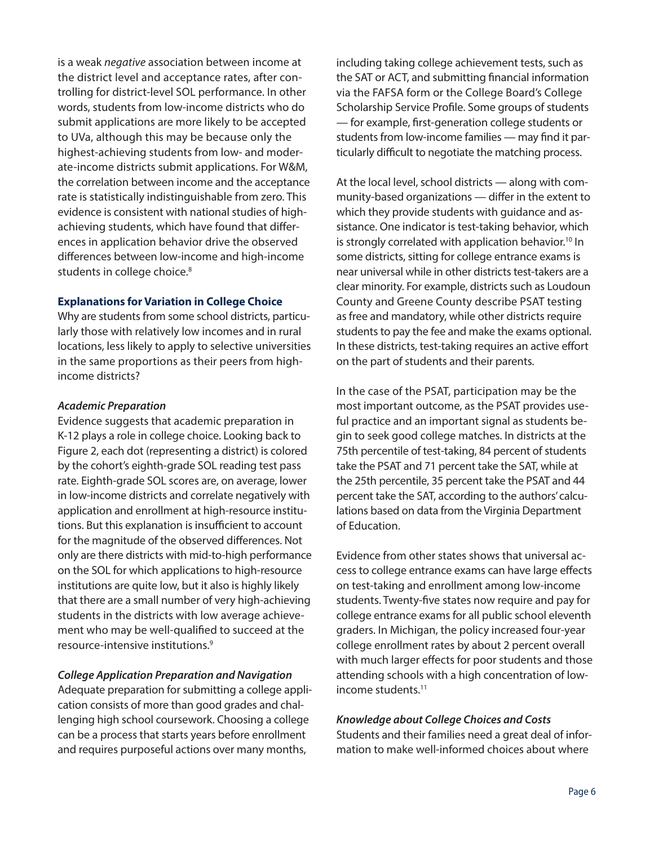is a weak *negative* association between income at the district level and acceptance rates, after controlling for district-level SOL performance. In other words, students from low-income districts who do submit applications are more likely to be accepted to UVa, although this may be because only the highest-achieving students from low- and moderate-income districts submit applications. For W&M, the correlation between income and the acceptance rate is statistically indistinguishable from zero. This evidence is consistent with national studies of highachieving students, which have found that differences in application behavior drive the observed differences between low-income and high-income students in college choice.<sup>8</sup>

#### **Explanations for Variation in College Choice**

Why are students from some school districts, particularly those with relatively low incomes and in rural locations, less likely to apply to selective universities in the same proportions as their peers from highincome districts?

### *Academic Preparation*

Evidence suggests that academic preparation in K-12 plays a role in college choice. Looking back to Figure 2, each dot (representing a district) is colored by the cohort's eighth-grade SOL reading test pass rate. Eighth-grade SOL scores are, on average, lower in low-income districts and correlate negatively with application and enrollment at high-resource institutions. But this explanation is insufficient to account for the magnitude of the observed differences. Not only are there districts with mid-to-high performance on the SOL for which applications to high-resource institutions are quite low, but it also is highly likely that there are a small number of very high-achieving students in the districts with low average achievement who may be well-qualified to succeed at the resource-intensive institutions.9

# *College Application Preparation and Navigation*

Adequate preparation for submitting a college application consists of more than good grades and challenging high school coursework. Choosing a college can be a process that starts years before enrollment and requires purposeful actions over many months,

including taking college achievement tests, such as the SAT or ACT, and submitting financial information via the FAFSA form or the College Board's College Scholarship Service Profile. Some groups of students — for example, first-generation college students or students from low-income families — may find it particularly difficult to negotiate the matching process.

At the local level, school districts — along with community-based organizations — differ in the extent to which they provide students with guidance and assistance. One indicator is test-taking behavior, which is strongly correlated with application behavior.<sup>10</sup> In some districts, sitting for college entrance exams is near universal while in other districts test-takers are a clear minority. For example, districts such as Loudoun County and Greene County describe PSAT testing as free and mandatory, while other districts require students to pay the fee and make the exams optional. In these districts, test-taking requires an active effort on the part of students and their parents.

In the case of the PSAT, participation may be the most important outcome, as the PSAT provides useful practice and an important signal as students begin to seek good college matches. In districts at the 75th percentile of test-taking, 84 percent of students take the PSAT and 71 percent take the SAT, while at the 25th percentile, 35 percent take the PSAT and 44 percent take the SAT, according to the authors' calculations based on data from the Virginia Department of Education.

Evidence from other states shows that universal access to college entrance exams can have large effects on test-taking and enrollment among low-income students. Twenty-five states now require and pay for college entrance exams for all public school eleventh graders. In Michigan, the policy increased four-year college enrollment rates by about 2 percent overall with much larger effects for poor students and those attending schools with a high concentration of lowincome students.11

# *Knowledge about College Choices and Costs*

Students and their families need a great deal of information to make well-informed choices about where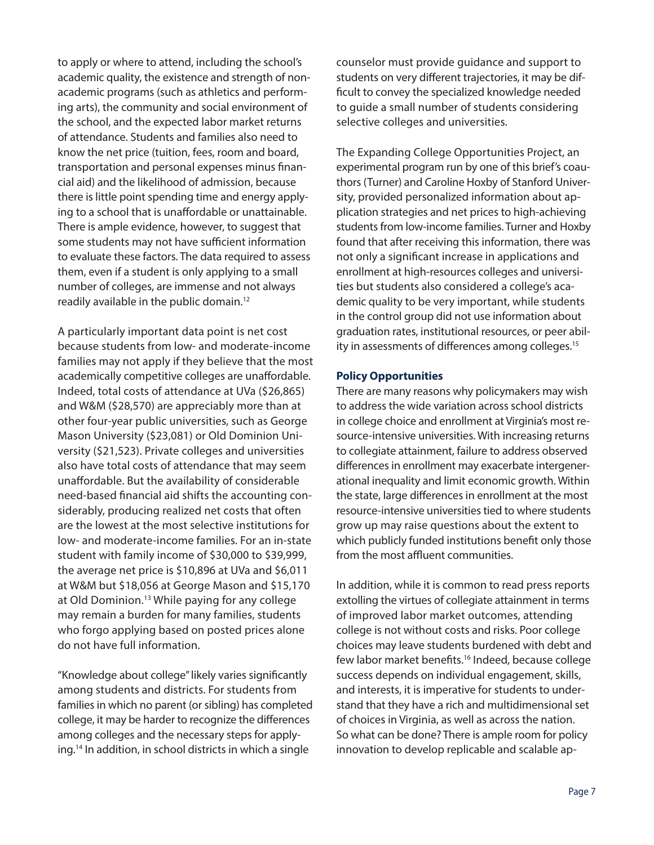to apply or where to attend, including the school's academic quality, the existence and strength of nonacademic programs (such as athletics and performing arts), the community and social environment of the school, and the expected labor market returns of attendance. Students and families also need to know the net price (tuition, fees, room and board, transportation and personal expenses minus financial aid) and the likelihood of admission, because there is little point spending time and energy applying to a school that is unaffordable or unattainable. There is ample evidence, however, to suggest that some students may not have sufficient information to evaluate these factors. The data required to assess them, even if a student is only applying to a small number of colleges, are immense and not always readily available in the public domain.12

A particularly important data point is net cost because students from low- and moderate-income families may not apply if they believe that the most academically competitive colleges are unaffordable. Indeed, total costs of attendance at UVa (\$26,865) and W&M (\$28,570) are appreciably more than at other four-year public universities, such as George Mason University (\$23,081) or Old Dominion University (\$21,523). Private colleges and universities also have total costs of attendance that may seem unaffordable. But the availability of considerable need-based financial aid shifts the accounting considerably, producing realized net costs that often are the lowest at the most selective institutions for low- and moderate-income families. For an in-state student with family income of \$30,000 to \$39,999, the average net price is \$10,896 at UVa and \$6,011 at W&M but \$18,056 at George Mason and \$15,170 at Old Dominion.<sup>13</sup> While paying for any college may remain a burden for many families, students who forgo applying based on posted prices alone do not have full information.

"Knowledge about college" likely varies significantly among students and districts. For students from families in which no parent (or sibling) has completed college, it may be harder to recognize the differences among colleges and the necessary steps for applying.14 In addition, in school districts in which a single

counselor must provide guidance and support to students on very different trajectories, it may be difficult to convey the specialized knowledge needed to guide a small number of students considering selective colleges and universities.

The Expanding College Opportunities Project, an experimental program run by one of this brief's coauthors (Turner) and Caroline Hoxby of Stanford University, provided personalized information about application strategies and net prices to high-achieving students from low-income families. Turner and Hoxby found that after receiving this information, there was not only a significant increase in applications and enrollment at high-resources colleges and universities but students also considered a college's academic quality to be very important, while students in the control group did not use information about graduation rates, institutional resources, or peer ability in assessments of differences among colleges.<sup>15</sup>

#### **Policy Opportunities**

There are many reasons why policymakers may wish to address the wide variation across school districts in college choice and enrollment at Virginia's most resource-intensive universities. With increasing returns to collegiate attainment, failure to address observed differences in enrollment may exacerbate intergenerational inequality and limit economic growth. Within the state, large differences in enrollment at the most resource-intensive universities tied to where students grow up may raise questions about the extent to which publicly funded institutions benefit only those from the most affluent communities.

In addition, while it is common to read press reports extolling the virtues of collegiate attainment in terms of improved labor market outcomes, attending college is not without costs and risks. Poor college choices may leave students burdened with debt and few labor market benefits.16 Indeed, because college success depends on individual engagement, skills, and interests, it is imperative for students to understand that they have a rich and multidimensional set of choices in Virginia, as well as across the nation. So what can be done? There is ample room for policy innovation to develop replicable and scalable ap-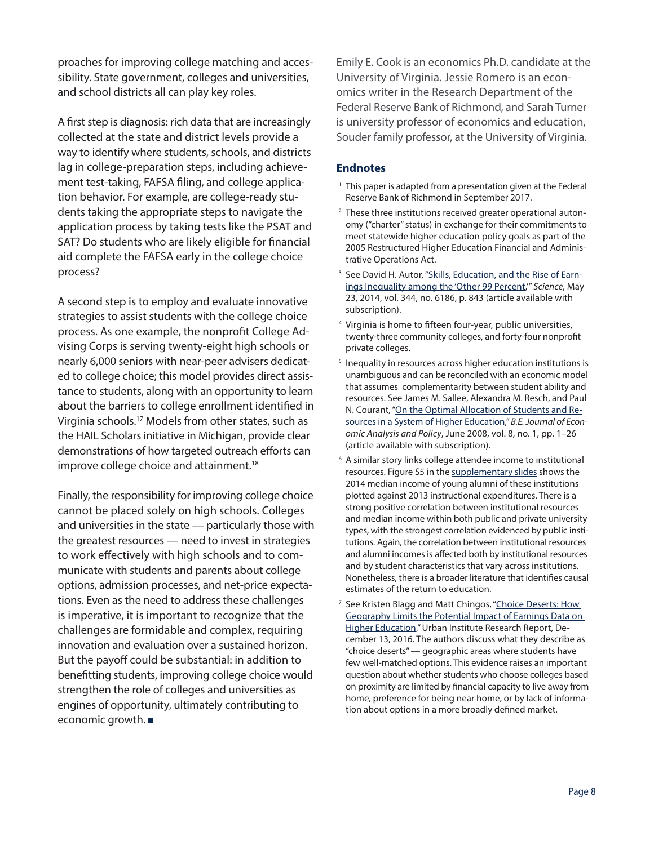proaches for improving college matching and accessibility. State government, colleges and universities, and school districts all can play key roles.

A first step is diagnosis: rich data that are increasingly collected at the state and district levels provide a way to identify where students, schools, and districts lag in college-preparation steps, including achievement test-taking, FAFSA filing, and college application behavior. For example, are college-ready students taking the appropriate steps to navigate the application process by taking tests like the PSAT and SAT? Do students who are likely eligible for financial aid complete the FAFSA early in the college choice process?

A second step is to employ and evaluate innovative strategies to assist students with the college choice process. As one example, the nonprofit College Advising Corps is serving twenty-eight high schools or nearly 6,000 seniors with near-peer advisers dedicated to college choice; this model provides direct assistance to students, along with an opportunity to learn about the barriers to college enrollment identified in Virginia schools.17 Models from other states, such as the HAIL Scholars initiative in Michigan, provide clear demonstrations of how targeted outreach efforts can improve college choice and attainment.<sup>18</sup>

Finally, the responsibility for improving college choice cannot be placed solely on high schools. Colleges and universities in the state — particularly those with the greatest resources — need to invest in strategies to work effectively with high schools and to communicate with students and parents about college options, admission processes, and net-price expectations. Even as the need to address these challenges is imperative, it is important to recognize that the challenges are formidable and complex, requiring innovation and evaluation over a sustained horizon. But the payoff could be substantial: in addition to benefitting students, improving college choice would strengthen the role of colleges and universities as engines of opportunity, ultimately contributing to economic growth.

Emily E. Cook is an economics Ph.D. candidate at the University of Virginia. Jessie Romero is an economics writer in the Research Department of the Federal Reserve Bank of Richmond, and Sarah Turner is university professor of economics and education, Souder family professor, at the University of Virginia.

## **Endnotes**

- <sup>1</sup> This paper is adapted from a presentation given at the Federal Reserve Bank of Richmond in September 2017.
- <sup>2</sup> These three institutions received greater operational autonomy ("charter" status) in exchange for their commitments to meet statewide higher education policy goals as part of the 2005 Restructured Higher Education Financial and Administrative Operations Act.
- <sup>3</sup> See David H. Autor, ["Skills, Education, and the Rise of Earn](https://doi.org/10.1126/science.1251868)[ings Inequality among the 'Other 99 Percent,](https://doi.org/10.1126/science.1251868)'" *Science*, May 23, 2014, vol. 344, no. 6186, p. 843 (article available with subscription).
- 4 Virginia is home to fifteen four-year, public universities, twenty-three community colleges, and forty-four nonprofit private colleges.
- <sup>5</sup> Inequality in resources across higher education institutions is unambiguous and can be reconciled with an economic model that assumes complementarity between student ability and resources. See James M. Sallee, Alexandra M. Resch, and Paul N. Courant, ["On the Optimal Allocation of Students and Re](https://doi.org/10.2202/1935-1682.1871)[sources in a System of Higher Education,](https://doi.org/10.2202/1935-1682.1871)" *B.E. Journal of Economic Analysis and Policy*, June 2008, vol. 8, no. 1, pp. 1–26 (article available with subscription).
- 6 A similar story links college attendee income to institutional resources. Figure S5 in the [supplementary slides](https://www.richmondfed.org/-/media/richmondfedorg/publications/research/economic_brief/2017/pdf/uva_supplementary_slides.pdf) shows the 2014 median income of young alumni of these institutions plotted against 2013 instructional expenditures. There is a strong positive correlation between institutional resources and median income within both public and private university types, with the strongest correlation evidenced by public institutions. Again, the correlation between institutional resources and alumni incomes is affected both by institutional resources and by student characteristics that vary across institutions. Nonetheless, there is a broader literature that identifies causal estimates of the return to education.
- <sup>7</sup> See Kristen Blagg and Matt Chingos, "Choice Deserts: How [Geography Limits the Potential Impact of Earnings Data on](https://www.urban.org/research/publication/choice-deserts-how-geography-limits-potential-impact-earnings-data-higher-education)  [Higher Education,](https://www.urban.org/research/publication/choice-deserts-how-geography-limits-potential-impact-earnings-data-higher-education)" Urban Institute Research Report, December 13, 2016. The authors discuss what they describe as "choice deserts" — geographic areas where students have few well-matched options. This evidence raises an important question about whether students who choose colleges based on proximity are limited by financial capacity to live away from home, preference for being near home, or by lack of information about options in a more broadly defined market.